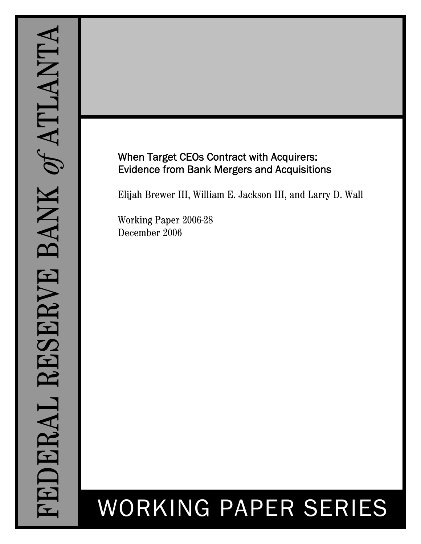# When Target CEOs Contract with Acquirers: Evidence from Bank Mergers and Acquisitions

Elijah Brewer III, William E. Jackson III, and Larry D. Wall

Working Paper 2006-28 December 2006

# WORKING PAPER SERIES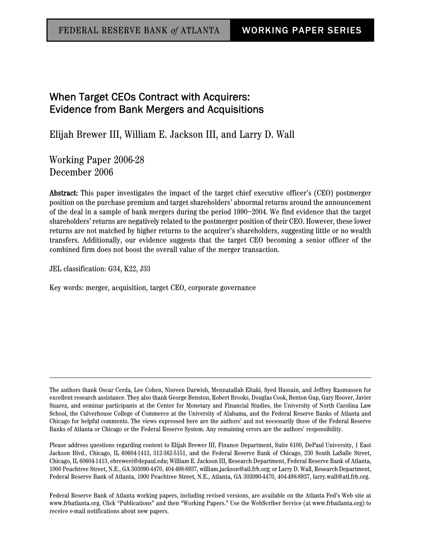# When Target CEOs Contract with Acquirers: Evidence from Bank Mergers and Acquisitions

Elijah Brewer III, William E. Jackson III, and Larry D. Wall

Working Paper 2006-28 December 2006

Abstract: This paper investigates the impact of the target chief executive officer's (CEO) postmerger position on the purchase premium and target shareholders' abnormal returns around the announcement of the deal in a sample of bank mergers during the period 1990–2004. We find evidence that the target shareholders' returns are negatively related to the postmerger position of their CEO. However, these lower returns are not matched by higher returns to the acquirer's shareholders, suggesting little or no wealth transfers. Additionally, our evidence suggests that the target CEO becoming a senior officer of the combined firm does not boost the overall value of the merger transaction.

JEL classification: G34, K22, J33

Key words: merger, acquisition, target CEO, corporate governance

Please address questions regarding content to Elijah Brewer III, Finance Department, Suite 6100, DePaul University, 1 East Jackson Blvd., Chicago, IL 60604-1413, 312-362-5151, and the Federal Reserve Bank of Chicago, 230 South LaSalle Street, Chicago, IL 60604-1413, ebreweri@depaul.edu; William E. Jackson III, Research Department, Federal Reserve Bank of Atlanta, 1000 Peachtree Street, N.E., GA 303090-4470, 404-498-8937, william.jackson@atl.frb.org; or Larry D. Wall, Research Department, Federal Reserve Bank of Atlanta, 1000 Peachtree Street, N.E., Atlanta, GA 303090-4470, 404-498-8937, larry.wall@atl.frb.org.

Federal Reserve Bank of Atlanta working papers, including revised versions, are available on the Atlanta Fed's Web site at www.frbatlanta.org. Click "Publications" and then "Working Papers." Use the WebScriber Service (at www.frbatlanta.org) to receive e-mail notifications about new papers.

The authors thank Oscar Cerda, Lee Cohen, Nisreen Darwish, Mennatallah Eltaki, Syed Hussain, and Jeffrey Rasmussen for excellent research assistance. They also thank George Benston, Robert Brooks, Douglas Cook, Benton Gup, Gary Hoover, Javier Suarez, and seminar participants at the Center for Monetary and Financial Studies, the University of North Carolina Law School, the Culverhouse College of Commerce at the University of Alabama, and the Federal Reserve Banks of Atlanta and Chicago for helpful comments. The views expressed here are the authors' and not necessarily those of the Federal Reserve Banks of Atlanta or Chicago or the Federal Reserve System. Any remaining errors are the authors' responsibility.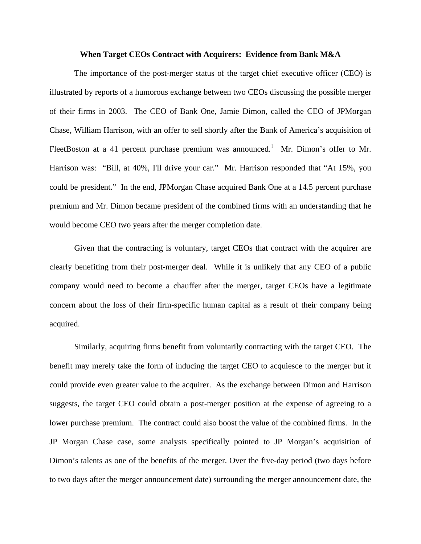#### **When Target CEOs Contract with Acquirers: Evidence from Bank M&A**

 The importance of the post-merger status of the target chief executive officer (CEO) is illustrated by reports of a humorous exchange between two CEOs discussing the possible merger of their firms in 2003. The CEO of Bank One, Jamie Dimon, called the CEO of JPMorgan Chase, William Harrison, with an offer to sell shortly after the Bank of America's acquisition of FleetBoston at a 41 percent purchase premium was announced.<sup>1</sup> Mr. Dimon's offer to Mr. Harrison was: "Bill, at 40%, I'll drive your car." Mr. Harrison responded that "At 15%, you could be president." In the end, JPMorgan Chase acquired Bank One at a 14.5 percent purchase premium and Mr. Dimon became president of the combined firms with an understanding that he would become CEO two years after the merger completion date.

 Given that the contracting is voluntary, target CEOs that contract with the acquirer are clearly benefiting from their post-merger deal. While it is unlikely that any CEO of a public company would need to become a chauffer after the merger, target CEOs have a legitimate concern about the loss of their firm-specific human capital as a result of their company being acquired.

 Similarly, acquiring firms benefit from voluntarily contracting with the target CEO. The benefit may merely take the form of inducing the target CEO to acquiesce to the merger but it could provide even greater value to the acquirer. As the exchange between Dimon and Harrison suggests, the target CEO could obtain a post-merger position at the expense of agreeing to a lower purchase premium. The contract could also boost the value of the combined firms. In the JP Morgan Chase case, some analysts specifically pointed to JP Morgan's acquisition of Dimon's talents as one of the benefits of the merger. Over the five-day period (two days before to two days after the merger announcement date) surrounding the merger announcement date, the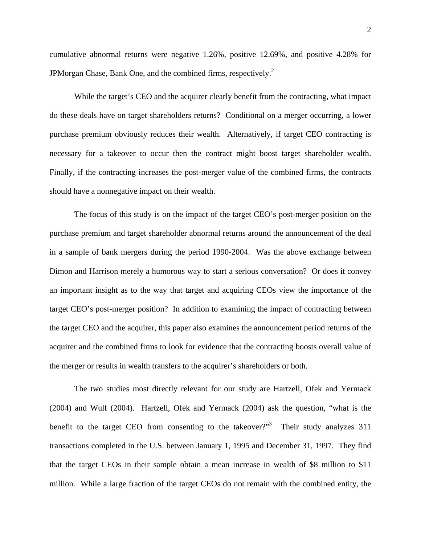cumulative abnormal returns were negative 1.26%, positive 12.69%, and positive 4.28% for JPMorgan Chase, Bank One, and the combined firms, respectively.<sup>2</sup>

 While the target's CEO and the acquirer clearly benefit from the contracting, what impact do these deals have on target shareholders returns? Conditional on a merger occurring, a lower purchase premium obviously reduces their wealth. Alternatively, if target CEO contracting is necessary for a takeover to occur then the contract might boost target shareholder wealth. Finally, if the contracting increases the post-merger value of the combined firms, the contracts should have a nonnegative impact on their wealth.

 The focus of this study is on the impact of the target CEO's post-merger position on the purchase premium and target shareholder abnormal returns around the announcement of the deal in a sample of bank mergers during the period 1990-2004. Was the above exchange between Dimon and Harrison merely a humorous way to start a serious conversation? Or does it convey an important insight as to the way that target and acquiring CEOs view the importance of the target CEO's post-merger position? In addition to examining the impact of contracting between the target CEO and the acquirer, this paper also examines the announcement period returns of the acquirer and the combined firms to look for evidence that the contracting boosts overall value of the merger or results in wealth transfers to the acquirer's shareholders or both.

The two studies most directly relevant for our study are Hartzell, Ofek and Yermack (2004) and Wulf (2004). Hartzell, Ofek and Yermack (2004) ask the question, "what is the benefit to the target CEO from consenting to the takeover? $\frac{3}{10}$  Their study analyzes 311 transactions completed in the U.S. between January 1, 1995 and December 31, 1997. They find that the target CEOs in their sample obtain a mean increase in wealth of \$8 million to \$11 million. While a large fraction of the target CEOs do not remain with the combined entity, the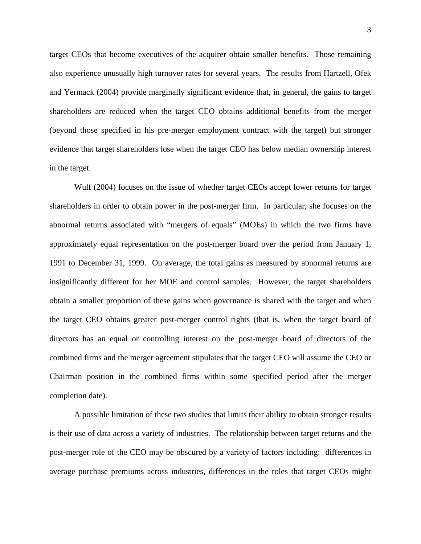target CEOs that become executives of the acquirer obtain smaller benefits. Those remaining also experience unusually high turnover rates for several years. The results from Hartzell, Ofek and Yermack (2004) provide marginally significant evidence that, in general, the gains to target shareholders are reduced when the target CEO obtains additional benefits from the merger (beyond those specified in his pre-merger employment contract with the target) but stronger evidence that target shareholders lose when the target CEO has below median ownership interest in the target.

 Wulf (2004) focuses on the issue of whether target CEOs accept lower returns for target shareholders in order to obtain power in the post-merger firm. In particular, she focuses on the abnormal returns associated with "mergers of equals" (MOEs) in which the two firms have approximately equal representation on the post-merger board over the period from January 1, 1991 to December 31, 1999. On average, the total gains as measured by abnormal returns are insignificantly different for her MOE and control samples. However, the target shareholders obtain a smaller proportion of these gains when governance is shared with the target and when the target CEO obtains greater post-merger control rights (that is, when the target board of directors has an equal or controlling interest on the post-merger board of directors of the combined firms and the merger agreement stipulates that the target CEO will assume the CEO or Chairman position in the combined firms within some specified period after the merger completion date).

 A possible limitation of these two studies that limits their ability to obtain stronger results is their use of data across a variety of industries. The relationship between target returns and the post-merger role of the CEO may be obscured by a variety of factors including: differences in average purchase premiums across industries, differences in the roles that target CEOs might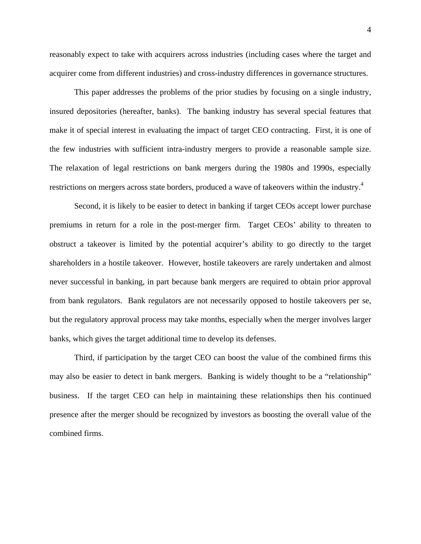reasonably expect to take with acquirers across industries (including cases where the target and acquirer come from different industries) and cross-industry differences in governance structures.

 This paper addresses the problems of the prior studies by focusing on a single industry, insured depositories (hereafter, banks). The banking industry has several special features that make it of special interest in evaluating the impact of target CEO contracting. First, it is one of the few industries with sufficient intra-industry mergers to provide a reasonable sample size. The relaxation of legal restrictions on bank mergers during the 1980s and 1990s, especially restrictions on mergers across state borders, produced a wave of takeovers within the industry.<sup>4</sup>

 Second, it is likely to be easier to detect in banking if target CEOs accept lower purchase premiums in return for a role in the post-merger firm. Target CEOs' ability to threaten to obstruct a takeover is limited by the potential acquirer's ability to go directly to the target shareholders in a hostile takeover. However, hostile takeovers are rarely undertaken and almost never successful in banking, in part because bank mergers are required to obtain prior approval from bank regulators. Bank regulators are not necessarily opposed to hostile takeovers per se, but the regulatory approval process may take months, especially when the merger involves larger banks, which gives the target additional time to develop its defenses.

 Third, if participation by the target CEO can boost the value of the combined firms this may also be easier to detect in bank mergers. Banking is widely thought to be a "relationship" business. If the target CEO can help in maintaining these relationships then his continued presence after the merger should be recognized by investors as boosting the overall value of the combined firms.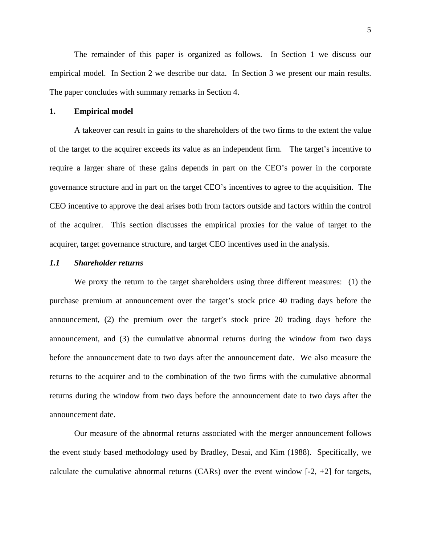The remainder of this paper is organized as follows. In Section 1 we discuss our empirical model. In Section 2 we describe our data. In Section 3 we present our main results. The paper concludes with summary remarks in Section 4.

#### **1. Empirical model**

 A takeover can result in gains to the shareholders of the two firms to the extent the value of the target to the acquirer exceeds its value as an independent firm. The target's incentive to require a larger share of these gains depends in part on the CEO's power in the corporate governance structure and in part on the target CEO's incentives to agree to the acquisition. The CEO incentive to approve the deal arises both from factors outside and factors within the control of the acquirer. This section discusses the empirical proxies for the value of target to the acquirer, target governance structure, and target CEO incentives used in the analysis.

#### *1.1 Shareholder returns*

 We proxy the return to the target shareholders using three different measures: (1) the purchase premium at announcement over the target's stock price 40 trading days before the announcement, (2) the premium over the target's stock price 20 trading days before the announcement, and (3) the cumulative abnormal returns during the window from two days before the announcement date to two days after the announcement date. We also measure the returns to the acquirer and to the combination of the two firms with the cumulative abnormal returns during the window from two days before the announcement date to two days after the announcement date.

Our measure of the abnormal returns associated with the merger announcement follows the event study based methodology used by Bradley, Desai, and Kim (1988). Specifically, we calculate the cumulative abnormal returns (CARs) over the event window  $[-2, +2]$  for targets,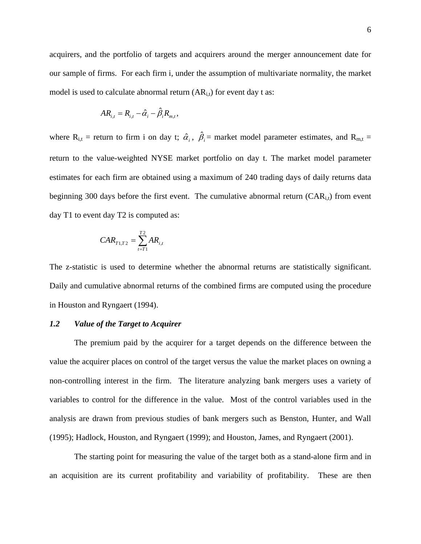acquirers, and the portfolio of targets and acquirers around the merger announcement date for our sample of firms. For each firm i, under the assumption of multivariate normality, the market model is used to calculate abnormal return  $(AR_{i,t})$  for event day t as:

$$
AR_{i,t} = R_{i,t} - \hat{\alpha}_i - \hat{\beta}_i R_{m,t},
$$

where  $R_{i,t}$  = return to firm i on day t;  $\hat{\alpha}_i$ ,  $\hat{\beta}_i$  = market model parameter estimates, and  $R_{m,t}$  = return to the value-weighted NYSE market portfolio on day t. The market model parameter estimates for each firm are obtained using a maximum of 240 trading days of daily returns data beginning 300 days before the first event. The cumulative abnormal return  $(CAR<sub>i,t</sub>)$  from event day T1 to event day T2 is computed as:

$$
CAR_{T1,T2} = \sum_{t=T1}^{T2} AR_{i,t}
$$

The z-statistic is used to determine whether the abnormal returns are statistically significant. Daily and cumulative abnormal returns of the combined firms are computed using the procedure in Houston and Ryngaert (1994).

# *1.2 Value of the Target to Acquirer*

The premium paid by the acquirer for a target depends on the difference between the value the acquirer places on control of the target versus the value the market places on owning a non-controlling interest in the firm. The literature analyzing bank mergers uses a variety of variables to control for the difference in the value. Most of the control variables used in the analysis are drawn from previous studies of bank mergers such as Benston, Hunter, and Wall (1995); Hadlock, Houston, and Ryngaert (1999); and Houston, James, and Ryngaert (2001).

The starting point for measuring the value of the target both as a stand-alone firm and in an acquisition are its current profitability and variability of profitability. These are then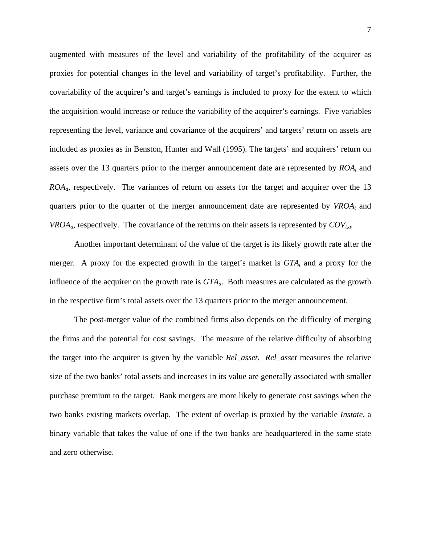augmented with measures of the level and variability of the profitability of the acquirer as proxies for potential changes in the level and variability of target's profitability. Further, the covariability of the acquirer's and target's earnings is included to proxy for the extent to which the acquisition would increase or reduce the variability of the acquirer's earnings. Five variables representing the level, variance and covariance of the acquirers' and targets' return on assets are included as proxies as in Benston, Hunter and Wall (1995). The targets' and acquirers' return on assets over the 13 quarters prior to the merger announcement date are represented by  $ROA_t$  and *ROAa*, respectively. The variances of return on assets for the target and acquirer over the 13 quarters prior to the quarter of the merger announcement date are represented by  $VROA_t$  and *VROA<sub>a</sub>*, respectively. The covariance of the returns on their assets is represented by  $COV_{ta}$ .

Another important determinant of the value of the target is its likely growth rate after the merger. A proxy for the expected growth in the target's market is  $GTA<sub>t</sub>$  and a proxy for the influence of the acquirer on the growth rate is *GTAa*. Both measures are calculated as the growth in the respective firm's total assets over the 13 quarters prior to the merger announcement.

The post-merger value of the combined firms also depends on the difficulty of merging the firms and the potential for cost savings. The measure of the relative difficulty of absorbing the target into the acquirer is given by the variable *Rel\_asset*. *Rel\_asset* measures the relative size of the two banks' total assets and increases in its value are generally associated with smaller purchase premium to the target. Bank mergers are more likely to generate cost savings when the two banks existing markets overlap. The extent of overlap is proxied by the variable *Instate,* a binary variable that takes the value of one if the two banks are headquartered in the same state and zero otherwise.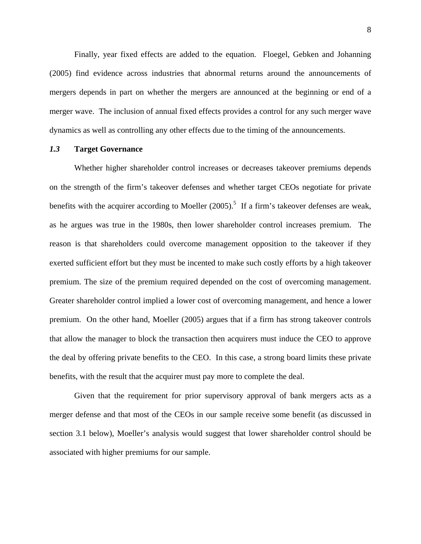Finally, year fixed effects are added to the equation. Floegel, Gebken and Johanning (2005) find evidence across industries that abnormal returns around the announcements of mergers depends in part on whether the mergers are announced at the beginning or end of a merger wave. The inclusion of annual fixed effects provides a control for any such merger wave dynamics as well as controlling any other effects due to the timing of the announcements.

# *1.3* **Target Governance**

Whether higher shareholder control increases or decreases takeover premiums depends on the strength of the firm's takeover defenses and whether target CEOs negotiate for private benefits with the acquirer according to Moeller  $(2005)$ .<sup>5</sup> If a firm's takeover defenses are weak, as he argues was true in the 1980s, then lower shareholder control increases premium. The reason is that shareholders could overcome management opposition to the takeover if they exerted sufficient effort but they must be incented to make such costly efforts by a high takeover premium. The size of the premium required depended on the cost of overcoming management. Greater shareholder control implied a lower cost of overcoming management, and hence a lower premium. On the other hand, Moeller (2005) argues that if a firm has strong takeover controls that allow the manager to block the transaction then acquirers must induce the CEO to approve the deal by offering private benefits to the CEO. In this case, a strong board limits these private benefits, with the result that the acquirer must pay more to complete the deal.

Given that the requirement for prior supervisory approval of bank mergers acts as a merger defense and that most of the CEOs in our sample receive some benefit (as discussed in section 3.1 below), Moeller's analysis would suggest that lower shareholder control should be associated with higher premiums for our sample.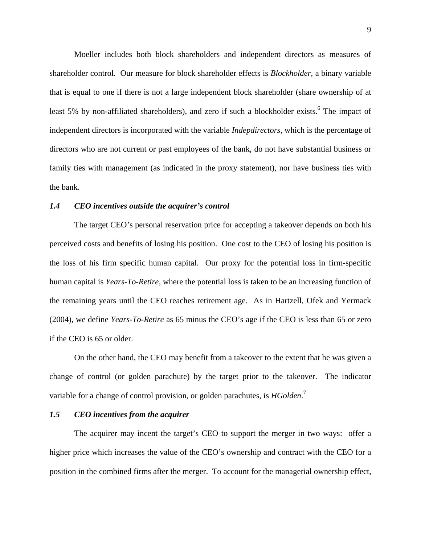Moeller includes both block shareholders and independent directors as measures of shareholder control. Our measure for block shareholder effects is *Blockholder,* a binary variable that is equal to one if there is not a large independent block shareholder (share ownership of at least 5% by non-affiliated shareholders), and zero if such a blockholder exists.<sup>6</sup> The impact of independent directors is incorporated with the variable *Indepdirectors*, which is the percentage of directors who are not current or past employees of the bank, do not have substantial business or family ties with management (as indicated in the proxy statement), nor have business ties with the bank.

## *1.4 CEO incentives outside the acquirer's control*

The target CEO's personal reservation price for accepting a takeover depends on both his perceived costs and benefits of losing his position. One cost to the CEO of losing his position is the loss of his firm specific human capital. Our proxy for the potential loss in firm-specific human capital is *Years-To-Retire*, where the potential loss is taken to be an increasing function of the remaining years until the CEO reaches retirement age. As in Hartzell, Ofek and Yermack (2004), we define *Years-To-Retire* as 65 minus the CEO's age if the CEO is less than 65 or zero if the CEO is 65 or older.

On the other hand, the CEO may benefit from a takeover to the extent that he was given a change of control (or golden parachute) by the target prior to the takeover. The indicator variable for a change of control provision, or golden parachutes, is *HGolden*.<sup>7</sup>

# *1.5 CEO incentives from the acquirer*

 The acquirer may incent the target's CEO to support the merger in two ways: offer a higher price which increases the value of the CEO's ownership and contract with the CEO for a position in the combined firms after the merger. To account for the managerial ownership effect,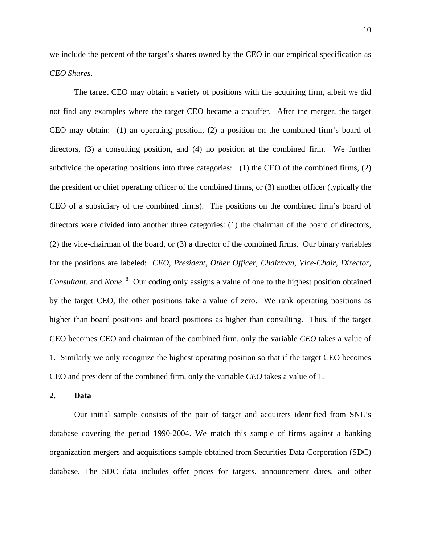we include the percent of the target's shares owned by the CEO in our empirical specification as *CEO Shares*.

 The target CEO may obtain a variety of positions with the acquiring firm, albeit we did not find any examples where the target CEO became a chauffer. After the merger, the target CEO may obtain: (1) an operating position, (2) a position on the combined firm's board of directors, (3) a consulting position, and (4) no position at the combined firm. We further subdivide the operating positions into three categories: (1) the CEO of the combined firms, (2) the president or chief operating officer of the combined firms, or (3) another officer (typically the CEO of a subsidiary of the combined firms). The positions on the combined firm's board of directors were divided into another three categories: (1) the chairman of the board of directors, (2) the vice-chairman of the board, or (3) a director of the combined firms. Our binary variables for the positions are labeled: *CEO, President, Other Officer, Chairman, Vice-Chair, Director, Consultant*, and *None*.<sup>8</sup> Our coding only assigns a value of one to the highest position obtained by the target CEO, the other positions take a value of zero. We rank operating positions as higher than board positions and board positions as higher than consulting. Thus, if the target CEO becomes CEO and chairman of the combined firm, only the variable *CEO* takes a value of 1. Similarly we only recognize the highest operating position so that if the target CEO becomes CEO and president of the combined firm, only the variable *CEO* takes a value of 1.

**2. Data** 

 Our initial sample consists of the pair of target and acquirers identified from SNL's database covering the period 1990-2004. We match this sample of firms against a banking organization mergers and acquisitions sample obtained from Securities Data Corporation (SDC) database. The SDC data includes offer prices for targets, announcement dates, and other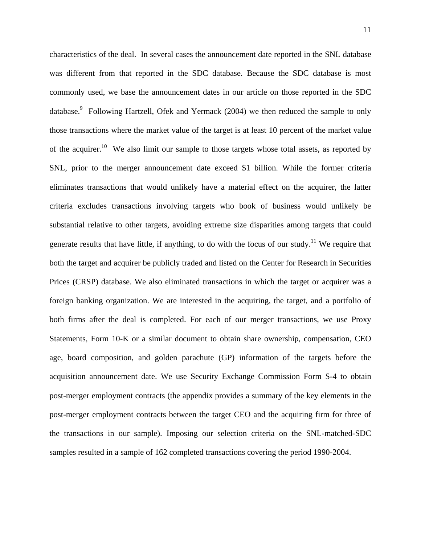characteristics of the deal. In several cases the announcement date reported in the SNL database was different from that reported in the SDC database. Because the SDC database is most commonly used, we base the announcement dates in our article on those reported in the SDC database.<sup>9</sup> Following Hartzell, Ofek and Yermack (2004) we then reduced the sample to only those transactions where the market value of the target is at least 10 percent of the market value of the acquirer.<sup>10</sup> We also limit our sample to those targets whose total assets, as reported by SNL, prior to the merger announcement date exceed \$1 billion. While the former criteria eliminates transactions that would unlikely have a material effect on the acquirer, the latter criteria excludes transactions involving targets who book of business would unlikely be substantial relative to other targets, avoiding extreme size disparities among targets that could generate results that have little, if anything, to do with the focus of our study.<sup>11</sup> We require that both the target and acquirer be publicly traded and listed on the Center for Research in Securities Prices (CRSP) database. We also eliminated transactions in which the target or acquirer was a foreign banking organization. We are interested in the acquiring, the target, and a portfolio of both firms after the deal is completed. For each of our merger transactions, we use Proxy Statements, Form 10-K or a similar document to obtain share ownership, compensation, CEO age, board composition, and golden parachute (GP) information of the targets before the acquisition announcement date. We use Security Exchange Commission Form S-4 to obtain post-merger employment contracts (the appendix provides a summary of the key elements in the post-merger employment contracts between the target CEO and the acquiring firm for three of the transactions in our sample). Imposing our selection criteria on the SNL-matched-SDC samples resulted in a sample of 162 completed transactions covering the period 1990-2004.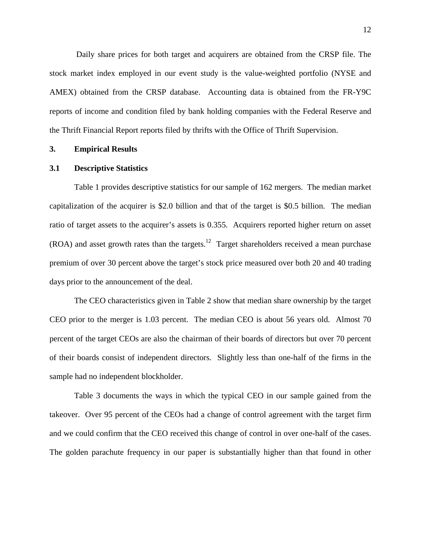Daily share prices for both target and acquirers are obtained from the CRSP file. The stock market index employed in our event study is the value-weighted portfolio (NYSE and AMEX) obtained from the CRSP database. Accounting data is obtained from the FR-Y9C reports of income and condition filed by bank holding companies with the Federal Reserve and the Thrift Financial Report reports filed by thrifts with the Office of Thrift Supervision.

# **3. Empirical Results**

#### **3.1 Descriptive Statistics**

 Table 1 provides descriptive statistics for our sample of 162 mergers. The median market capitalization of the acquirer is \$2.0 billion and that of the target is \$0.5 billion. The median ratio of target assets to the acquirer's assets is 0.355. Acquirers reported higher return on asset  $(ROA)$  and asset growth rates than the targets.<sup>12</sup> Target shareholders received a mean purchase premium of over 30 percent above the target's stock price measured over both 20 and 40 trading days prior to the announcement of the deal.

 The CEO characteristics given in Table 2 show that median share ownership by the target CEO prior to the merger is 1.03 percent. The median CEO is about 56 years old. Almost 70 percent of the target CEOs are also the chairman of their boards of directors but over 70 percent of their boards consist of independent directors. Slightly less than one-half of the firms in the sample had no independent blockholder.

 Table 3 documents the ways in which the typical CEO in our sample gained from the takeover. Over 95 percent of the CEOs had a change of control agreement with the target firm and we could confirm that the CEO received this change of control in over one-half of the cases. The golden parachute frequency in our paper is substantially higher than that found in other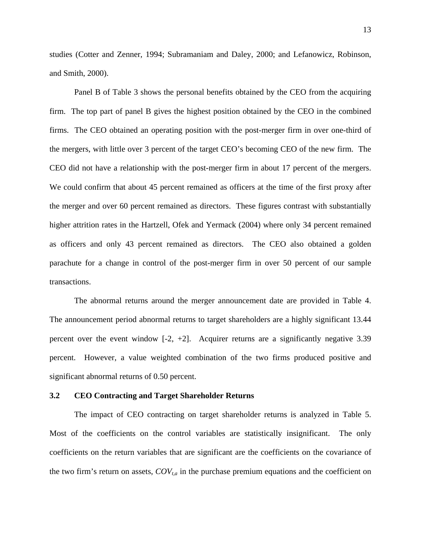studies (Cotter and Zenner, 1994; Subramaniam and Daley, 2000; and Lefanowicz, Robinson, and Smith, 2000).

 Panel B of Table 3 shows the personal benefits obtained by the CEO from the acquiring firm. The top part of panel B gives the highest position obtained by the CEO in the combined firms. The CEO obtained an operating position with the post-merger firm in over one-third of the mergers, with little over 3 percent of the target CEO's becoming CEO of the new firm. The CEO did not have a relationship with the post-merger firm in about 17 percent of the mergers. We could confirm that about 45 percent remained as officers at the time of the first proxy after the merger and over 60 percent remained as directors. These figures contrast with substantially higher attrition rates in the Hartzell, Ofek and Yermack (2004) where only 34 percent remained as officers and only 43 percent remained as directors. The CEO also obtained a golden parachute for a change in control of the post-merger firm in over 50 percent of our sample transactions.

 The abnormal returns around the merger announcement date are provided in Table 4. The announcement period abnormal returns to target shareholders are a highly significant 13.44 percent over the event window  $[-2, +2]$ . Acquirer returns are a significantly negative 3.39 percent. However, a value weighted combination of the two firms produced positive and significant abnormal returns of 0.50 percent.

# **3.2 CEO Contracting and Target Shareholder Returns**

 The impact of CEO contracting on target shareholder returns is analyzed in Table 5. Most of the coefficients on the control variables are statistically insignificant. The only coefficients on the return variables that are significant are the coefficients on the covariance of the two firm's return on assets,  $COV_{t,a}$  in the purchase premium equations and the coefficient on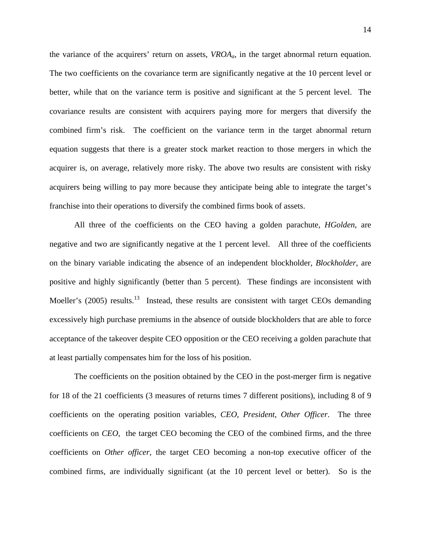the variance of the acquirers' return on assets, *VROAa*, in the target abnormal return equation. The two coefficients on the covariance term are significantly negative at the 10 percent level or better, while that on the variance term is positive and significant at the 5 percent level. The covariance results are consistent with acquirers paying more for mergers that diversify the combined firm's risk. The coefficient on the variance term in the target abnormal return equation suggests that there is a greater stock market reaction to those mergers in which the acquirer is, on average, relatively more risky. The above two results are consistent with risky acquirers being willing to pay more because they anticipate being able to integrate the target's franchise into their operations to diversify the combined firms book of assets.

 All three of the coefficients on the CEO having a golden parachute, *HGolden*, are negative and two are significantly negative at the 1 percent level. All three of the coefficients on the binary variable indicating the absence of an independent blockholder, *Blockholder*, are positive and highly significantly (better than 5 percent). These findings are inconsistent with Moeller's  $(2005)$  results.<sup>13</sup> Instead, these results are consistent with target CEOs demanding excessively high purchase premiums in the absence of outside blockholders that are able to force acceptance of the takeover despite CEO opposition or the CEO receiving a golden parachute that at least partially compensates him for the loss of his position.

 The coefficients on the position obtained by the CEO in the post-merger firm is negative for 18 of the 21 coefficients (3 measures of returns times 7 different positions), including 8 of 9 coefficients on the operating position variables, *CEO, President, Other Officer*. The three coefficients on *CEO,* the target CEO becoming the CEO of the combined firms, and the three coefficients on *Other officer,* the target CEO becoming a non-top executive officer of the combined firms, are individually significant (at the 10 percent level or better). So is the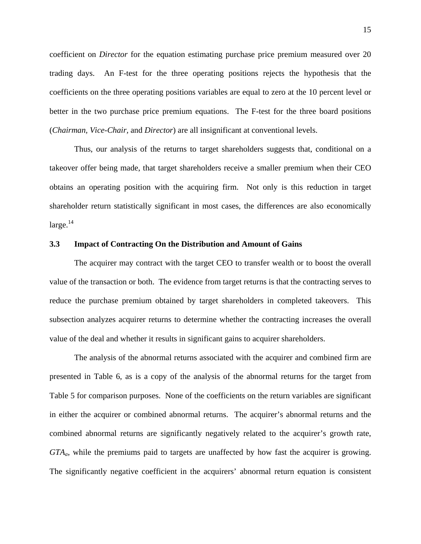coefficient on *Director* for the equation estimating purchase price premium measured over 20 trading days. An F-test for the three operating positions rejects the hypothesis that the coefficients on the three operating positions variables are equal to zero at the 10 percent level or better in the two purchase price premium equations. The F-test for the three board positions (*Chairman, Vice-Chair,* and *Director*) are all insignificant at conventional levels.

 Thus, our analysis of the returns to target shareholders suggests that, conditional on a takeover offer being made, that target shareholders receive a smaller premium when their CEO obtains an operating position with the acquiring firm. Not only is this reduction in target shareholder return statistically significant in most cases, the differences are also economically  $\text{large.}^{14}$ 

### **3.3 Impact of Contracting On the Distribution and Amount of Gains**

 The acquirer may contract with the target CEO to transfer wealth or to boost the overall value of the transaction or both. The evidence from target returns is that the contracting serves to reduce the purchase premium obtained by target shareholders in completed takeovers. This subsection analyzes acquirer returns to determine whether the contracting increases the overall value of the deal and whether it results in significant gains to acquirer shareholders.

 The analysis of the abnormal returns associated with the acquirer and combined firm are presented in Table 6, as is a copy of the analysis of the abnormal returns for the target from Table 5 for comparison purposes. None of the coefficients on the return variables are significant in either the acquirer or combined abnormal returns. The acquirer's abnormal returns and the combined abnormal returns are significantly negatively related to the acquirer's growth rate, *GTAa*, while the premiums paid to targets are unaffected by how fast the acquirer is growing. The significantly negative coefficient in the acquirers' abnormal return equation is consistent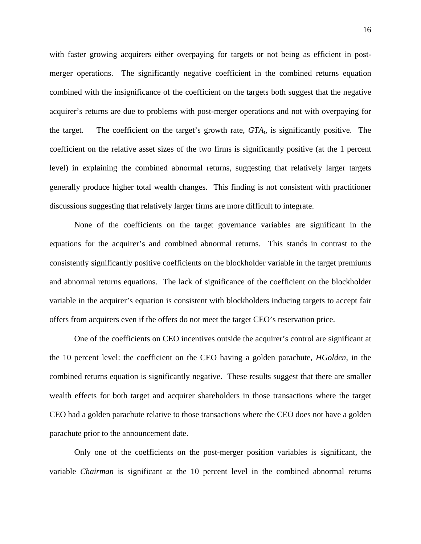with faster growing acquirers either overpaying for targets or not being as efficient in postmerger operations. The significantly negative coefficient in the combined returns equation combined with the insignificance of the coefficient on the targets both suggest that the negative acquirer's returns are due to problems with post-merger operations and not with overpaying for the target. The coefficient on the target's growth rate,  $GTA<sub>t</sub>$ , is significantly positive. The coefficient on the relative asset sizes of the two firms is significantly positive (at the 1 percent level) in explaining the combined abnormal returns, suggesting that relatively larger targets generally produce higher total wealth changes. This finding is not consistent with practitioner discussions suggesting that relatively larger firms are more difficult to integrate.

 None of the coefficients on the target governance variables are significant in the equations for the acquirer's and combined abnormal returns. This stands in contrast to the consistently significantly positive coefficients on the blockholder variable in the target premiums and abnormal returns equations. The lack of significance of the coefficient on the blockholder variable in the acquirer's equation is consistent with blockholders inducing targets to accept fair offers from acquirers even if the offers do not meet the target CEO's reservation price.

 One of the coefficients on CEO incentives outside the acquirer's control are significant at the 10 percent level: the coefficient on the CEO having a golden parachute, *HGolden*, in the combined returns equation is significantly negative. These results suggest that there are smaller wealth effects for both target and acquirer shareholders in those transactions where the target CEO had a golden parachute relative to those transactions where the CEO does not have a golden parachute prior to the announcement date.

 Only one of the coefficients on the post-merger position variables is significant, the variable *Chairman* is significant at the 10 percent level in the combined abnormal returns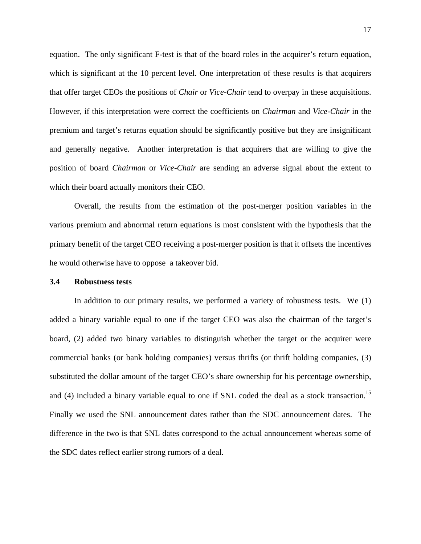equation. The only significant F-test is that of the board roles in the acquirer's return equation, which is significant at the 10 percent level. One interpretation of these results is that acquirers that offer target CEOs the positions of *Chair* or *Vice-Chair* tend to overpay in these acquisitions. However, if this interpretation were correct the coefficients on *Chairman* and *Vice-Chair* in the premium and target's returns equation should be significantly positive but they are insignificant and generally negative. Another interpretation is that acquirers that are willing to give the position of board *Chairman* or *Vice-Chair* are sending an adverse signal about the extent to which their board actually monitors their CEO.

 Overall, the results from the estimation of the post-merger position variables in the various premium and abnormal return equations is most consistent with the hypothesis that the primary benefit of the target CEO receiving a post-merger position is that it offsets the incentives he would otherwise have to oppose a takeover bid.

#### **3.4 Robustness tests**

 In addition to our primary results, we performed a variety of robustness tests. We (1) added a binary variable equal to one if the target CEO was also the chairman of the target's board, (2) added two binary variables to distinguish whether the target or the acquirer were commercial banks (or bank holding companies) versus thrifts (or thrift holding companies, (3) substituted the dollar amount of the target CEO's share ownership for his percentage ownership, and (4) included a binary variable equal to one if SNL coded the deal as a stock transaction.<sup>15</sup> Finally we used the SNL announcement dates rather than the SDC announcement dates. The difference in the two is that SNL dates correspond to the actual announcement whereas some of the SDC dates reflect earlier strong rumors of a deal.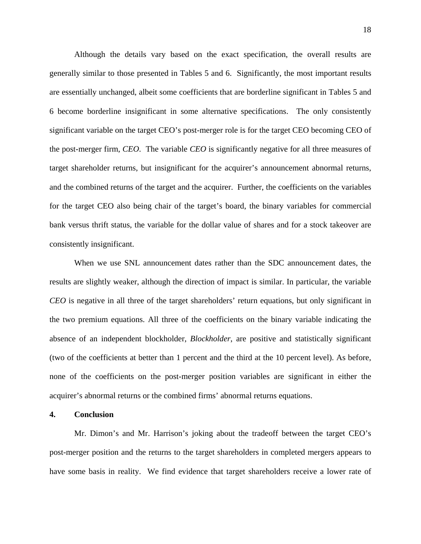Although the details vary based on the exact specification, the overall results are generally similar to those presented in Tables 5 and 6. Significantly, the most important results are essentially unchanged, albeit some coefficients that are borderline significant in Tables 5 and 6 become borderline insignificant in some alternative specifications. The only consistently significant variable on the target CEO's post-merger role is for the target CEO becoming CEO of the post-merger firm, *CEO*. The variable *CEO* is significantly negative for all three measures of target shareholder returns, but insignificant for the acquirer's announcement abnormal returns, and the combined returns of the target and the acquirer. Further, the coefficients on the variables for the target CEO also being chair of the target's board, the binary variables for commercial bank versus thrift status, the variable for the dollar value of shares and for a stock takeover are consistently insignificant.

 When we use SNL announcement dates rather than the SDC announcement dates, the results are slightly weaker, although the direction of impact is similar. In particular, the variable *CEO* is negative in all three of the target shareholders' return equations, but only significant in the two premium equations. All three of the coefficients on the binary variable indicating the absence of an independent blockholder, *Blockholder*, are positive and statistically significant (two of the coefficients at better than 1 percent and the third at the 10 percent level). As before, none of the coefficients on the post-merger position variables are significant in either the acquirer's abnormal returns or the combined firms' abnormal returns equations.

#### **4. Conclusion**

 Mr. Dimon's and Mr. Harrison's joking about the tradeoff between the target CEO's post-merger position and the returns to the target shareholders in completed mergers appears to have some basis in reality. We find evidence that target shareholders receive a lower rate of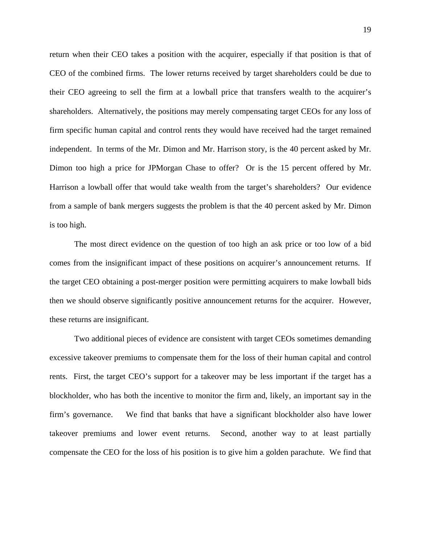return when their CEO takes a position with the acquirer, especially if that position is that of CEO of the combined firms. The lower returns received by target shareholders could be due to their CEO agreeing to sell the firm at a lowball price that transfers wealth to the acquirer's shareholders. Alternatively, the positions may merely compensating target CEOs for any loss of firm specific human capital and control rents they would have received had the target remained independent. In terms of the Mr. Dimon and Mr. Harrison story, is the 40 percent asked by Mr. Dimon too high a price for JPMorgan Chase to offer? Or is the 15 percent offered by Mr. Harrison a lowball offer that would take wealth from the target's shareholders? Our evidence from a sample of bank mergers suggests the problem is that the 40 percent asked by Mr. Dimon is too high.

 The most direct evidence on the question of too high an ask price or too low of a bid comes from the insignificant impact of these positions on acquirer's announcement returns. If the target CEO obtaining a post-merger position were permitting acquirers to make lowball bids then we should observe significantly positive announcement returns for the acquirer. However, these returns are insignificant.

 Two additional pieces of evidence are consistent with target CEOs sometimes demanding excessive takeover premiums to compensate them for the loss of their human capital and control rents. First, the target CEO's support for a takeover may be less important if the target has a blockholder, who has both the incentive to monitor the firm and, likely, an important say in the firm's governance. We find that banks that have a significant blockholder also have lower takeover premiums and lower event returns. Second, another way to at least partially compensate the CEO for the loss of his position is to give him a golden parachute. We find that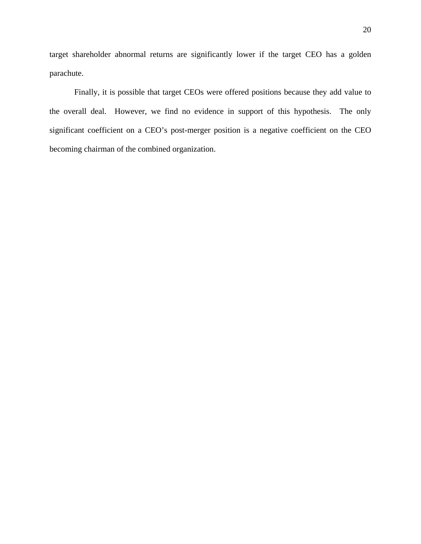target shareholder abnormal returns are significantly lower if the target CEO has a golden parachute.

 Finally, it is possible that target CEOs were offered positions because they add value to the overall deal. However, we find no evidence in support of this hypothesis. The only significant coefficient on a CEO's post-merger position is a negative coefficient on the CEO becoming chairman of the combined organization.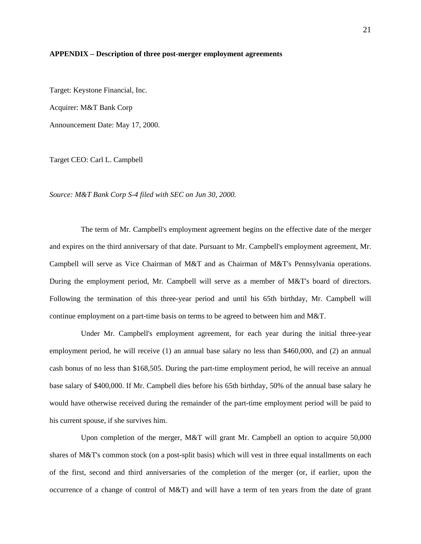#### **APPENDIX – Description of three post-merger employment agreements**

Target: Keystone Financial, Inc. Acquirer: M&T Bank Corp Announcement Date: May 17, 2000.

Target CEO: Carl L. Campbell

*Source: M&T Bank Corp S-4 filed with SEC on Jun 30, 2000.* 

 The term of Mr. Campbell's employment agreement begins on the effective date of the merger and expires on the third anniversary of that date. Pursuant to Mr. Campbell's employment agreement, Mr. Campbell will serve as Vice Chairman of M&T and as Chairman of M&T's Pennsylvania operations. During the employment period, Mr. Campbell will serve as a member of M&T's board of directors. Following the termination of this three-year period and until his 65th birthday, Mr. Campbell will continue employment on a part-time basis on terms to be agreed to between him and M&T.

 Under Mr. Campbell's employment agreement, for each year during the initial three-year employment period, he will receive (1) an annual base salary no less than \$460,000, and (2) an annual cash bonus of no less than \$168,505. During the part-time employment period, he will receive an annual base salary of \$400,000. If Mr. Campbell dies before his 65th birthday, 50% of the annual base salary he would have otherwise received during the remainder of the part-time employment period will be paid to his current spouse, if she survives him.

 Upon completion of the merger, M&T will grant Mr. Campbell an option to acquire 50,000 shares of M&T's common stock (on a post-split basis) which will vest in three equal installments on each of the first, second and third anniversaries of the completion of the merger (or, if earlier, upon the occurrence of a change of control of M&T) and will have a term of ten years from the date of grant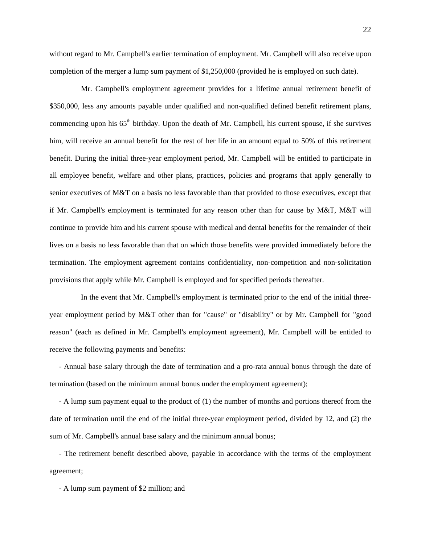without regard to Mr. Campbell's earlier termination of employment. Mr. Campbell will also receive upon completion of the merger a lump sum payment of \$1,250,000 (provided he is employed on such date).

 Mr. Campbell's employment agreement provides for a lifetime annual retirement benefit of \$350,000, less any amounts payable under qualified and non-qualified defined benefit retirement plans, commencing upon his  $65<sup>th</sup>$  birthday. Upon the death of Mr. Campbell, his current spouse, if she survives him, will receive an annual benefit for the rest of her life in an amount equal to 50% of this retirement benefit. During the initial three-year employment period, Mr. Campbell will be entitled to participate in all employee benefit, welfare and other plans, practices, policies and programs that apply generally to senior executives of M&T on a basis no less favorable than that provided to those executives, except that if Mr. Campbell's employment is terminated for any reason other than for cause by M&T, M&T will continue to provide him and his current spouse with medical and dental benefits for the remainder of their lives on a basis no less favorable than that on which those benefits were provided immediately before the termination. The employment agreement contains confidentiality, non-competition and non-solicitation provisions that apply while Mr. Campbell is employed and for specified periods thereafter.

 In the event that Mr. Campbell's employment is terminated prior to the end of the initial threeyear employment period by M&T other than for "cause" or "disability" or by Mr. Campbell for "good reason" (each as defined in Mr. Campbell's employment agreement), Mr. Campbell will be entitled to receive the following payments and benefits:

 - Annual base salary through the date of termination and a pro-rata annual bonus through the date of termination (based on the minimum annual bonus under the employment agreement);

 - A lump sum payment equal to the product of (1) the number of months and portions thereof from the date of termination until the end of the initial three-year employment period, divided by 12, and (2) the sum of Mr. Campbell's annual base salary and the minimum annual bonus;

 - The retirement benefit described above, payable in accordance with the terms of the employment agreement;

- A lump sum payment of \$2 million; and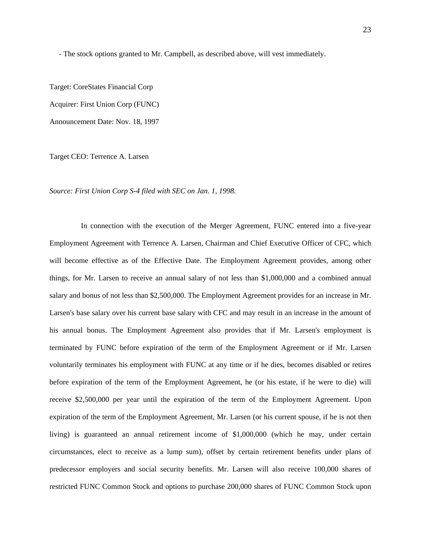- The stock options granted to Mr. Campbell, as described above, will vest immediately.

Target: CoreStates Financial Corp

Acquirer: First Union Corp (FUNC)

Announcement Date: Nov. 18, 1997

Target CEO: Terrence A. Larsen

*Source: First Union Corp S-4 filed with SEC on Jan. 1, 1998.* 

 In connection with the execution of the Merger Agreement, FUNC entered into a five-year Employment Agreement with Terrence A. Larsen, Chairman and Chief Executive Officer of CFC, which will become effective as of the Effective Date. The Employment Agreement provides, among other things, for Mr. Larsen to receive an annual salary of not less than \$1,000,000 and a combined annual salary and bonus of not less than \$2,500,000. The Employment Agreement provides for an increase in Mr. Larsen's base salary over his current base salary with CFC and may result in an increase in the amount of his annual bonus. The Employment Agreement also provides that if Mr. Larsen's employment is terminated by FUNC before expiration of the term of the Employment Agreement or if Mr. Larsen voluntarily terminates his employment with FUNC at any time or if he dies, becomes disabled or retires before expiration of the term of the Employment Agreement, he (or his estate, if he were to die) will receive \$2,500,000 per year until the expiration of the term of the Employment Agreement. Upon expiration of the term of the Employment Agreement, Mr. Larsen (or his current spouse, if he is not then living) is guaranteed an annual retirement income of \$1,000,000 (which he may, under certain circumstances, elect to receive as a lump sum), offset by certain retirement benefits under plans of predecessor employers and social security benefits. Mr. Larsen will also receive 100,000 shares of restricted FUNC Common Stock and options to purchase 200,000 shares of FUNC Common Stock upon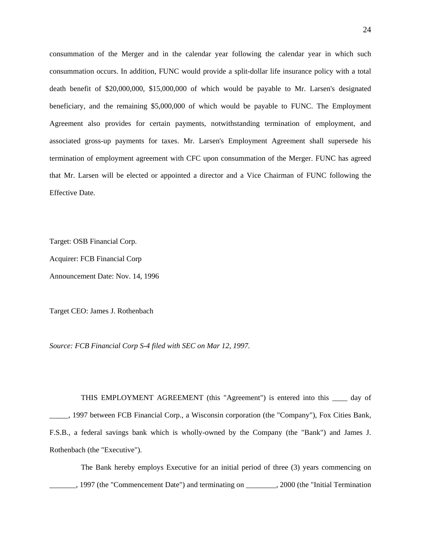consummation of the Merger and in the calendar year following the calendar year in which such consummation occurs. In addition, FUNC would provide a split-dollar life insurance policy with a total death benefit of \$20,000,000, \$15,000,000 of which would be payable to Mr. Larsen's designated beneficiary, and the remaining \$5,000,000 of which would be payable to FUNC. The Employment Agreement also provides for certain payments, notwithstanding termination of employment, and associated gross-up payments for taxes. Mr. Larsen's Employment Agreement shall supersede his termination of employment agreement with CFC upon consummation of the Merger. FUNC has agreed that Mr. Larsen will be elected or appointed a director and a Vice Chairman of FUNC following the Effective Date.

Target: OSB Financial Corp.

Acquirer: FCB Financial Corp

Announcement Date: Nov. 14, 1996

Target CEO: James J. Rothenbach

*Source: FCB Financial Corp S-4 filed with SEC on Mar 12, 1997.* 

 THIS EMPLOYMENT AGREEMENT (this "Agreement") is entered into this \_\_\_\_ day of \_\_\_\_\_, 1997 between FCB Financial Corp., a Wisconsin corporation (the "Company"), Fox Cities Bank, F.S.B., a federal savings bank which is wholly-owned by the Company (the "Bank") and James J. Rothenbach (the "Executive").

 The Bank hereby employs Executive for an initial period of three (3) years commencing on 1997 (the "Commencement Date") and terminating on \_\_\_\_\_\_\_\_, 2000 (the "Initial Termination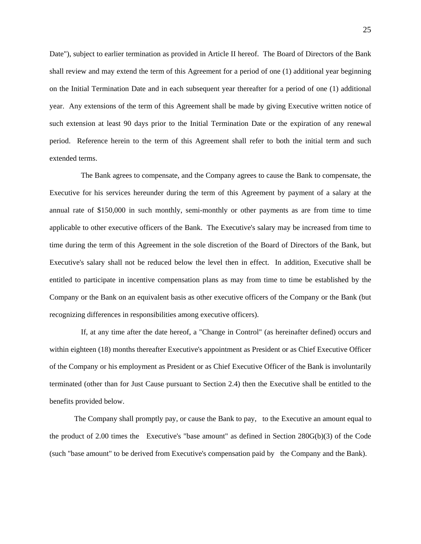Date"), subject to earlier termination as provided in Article II hereof. The Board of Directors of the Bank shall review and may extend the term of this Agreement for a period of one (1) additional year beginning on the Initial Termination Date and in each subsequent year thereafter for a period of one (1) additional year. Any extensions of the term of this Agreement shall be made by giving Executive written notice of such extension at least 90 days prior to the Initial Termination Date or the expiration of any renewal period. Reference herein to the term of this Agreement shall refer to both the initial term and such extended terms.

 The Bank agrees to compensate, and the Company agrees to cause the Bank to compensate, the Executive for his services hereunder during the term of this Agreement by payment of a salary at the annual rate of \$150,000 in such monthly, semi-monthly or other payments as are from time to time applicable to other executive officers of the Bank. The Executive's salary may be increased from time to time during the term of this Agreement in the sole discretion of the Board of Directors of the Bank, but Executive's salary shall not be reduced below the level then in effect. In addition, Executive shall be entitled to participate in incentive compensation plans as may from time to time be established by the Company or the Bank on an equivalent basis as other executive officers of the Company or the Bank (but recognizing differences in responsibilities among executive officers).

 If, at any time after the date hereof, a "Change in Control" (as hereinafter defined) occurs and within eighteen (18) months thereafter Executive's appointment as President or as Chief Executive Officer of the Company or his employment as President or as Chief Executive Officer of the Bank is involuntarily terminated (other than for Just Cause pursuant to Section 2.4) then the Executive shall be entitled to the benefits provided below.

 The Company shall promptly pay, or cause the Bank to pay, to the Executive an amount equal to the product of 2.00 times the Executive's "base amount" as defined in Section 280G(b)(3) of the Code (such "base amount" to be derived from Executive's compensation paid by the Company and the Bank).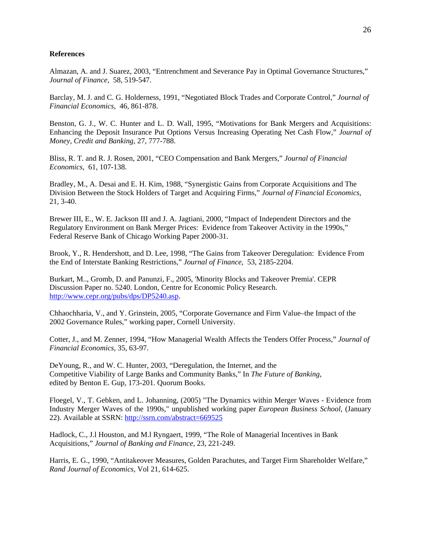#### **References**

Almazan, A. and J. Suarez, 2003, "Entrenchment and Severance Pay in Optimal Governance Structures," *Journal of Finance*, 58, 519-547.

Barclay, M. J. and C. G. Holderness, 1991, "Negotiated Block Trades and Corporate Control," *Journal of Financial Economics,* 46, 861-878.

Benston, G. J., W. C. Hunter and L. D. Wall, 1995, "Motivations for Bank Mergers and Acquisitions: Enhancing the Deposit Insurance Put Options Versus Increasing Operating Net Cash Flow," *Journal of Money, Credit and Banking*, 27, 777-788.

Bliss, R. T. and R. J. Rosen, 2001, "CEO Compensation and Bank Mergers," *Journal of Financial Economics,* 61, 107-138.

Bradley, M., A. Desai and E. H. Kim, 1988, "Synergistic Gains from Corporate Acquisitions and The Division Between the Stock Holders of Target and Acquiring Firms," *Journal of Financial Economics*, 21, 3-40.

Brewer III, E., W. E. Jackson III and J. A. Jagtiani, 2000, "Impact of Independent Directors and the Regulatory Environment on Bank Merger Prices: Evidence from Takeover Activity in the 1990s," Federal Reserve Bank of Chicago Working Paper 2000-31.

Brook*,* Y.*,* R. Hendershott, and D. Lee, 1998, "The Gains from Takeover Deregulation: Evidence From the End of Interstate Banking Restrictions," *Journal of Finance*, 53, 2185-2204.

Burkart, M.., Gromb, D. and Panunzi, F., 2005, 'Minority Blocks and Takeover Premia'. CEPR Discussion Paper no. 5240. London, Centre for Economic Policy Research. http://www.cepr.org/pubs/dps/DP5240.asp.

Chhaochharia, V., and Y. Grinstein, 2005, "Corporate Governance and Firm Value–the Impact of the 2002 Governance Rules," working paper, Cornell University.

Cotter, J., and M. Zenner, 1994, "How Managerial Wealth Affects the Tenders Offer Process," *Journal of Financial Economics*, 35, 63-97.

DeYoung, R., and W. C. Hunter, 2003, "Deregulation, the Internet, and the Competitive Viability of Large Banks and Community Banks," In *The Future of Banking*, edited by Benton E. Gup, 173-201. Quorum Books.

Floegel, V., T. Gebken, and L. Johanning, (2005) "The Dynamics within Merger Waves - Evidence from Industry Merger Waves of the 1990s," unpublished working paper *European Business School,* (January 22). Available at SSRN: http://ssrn.com/abstract=669525

Hadlock, C., J.l Houston, and M.l Ryngaert, 1999, "The Role of Managerial Incentives in Bank Acquisitions," *Journal of Banking and Finance,* 23, 221-249.

Harris, E. G., 1990, "Antitakeover Measures, Golden Parachutes, and Target Firm Shareholder Welfare," *Rand Journal of Economics,* Vol 21, 614-625.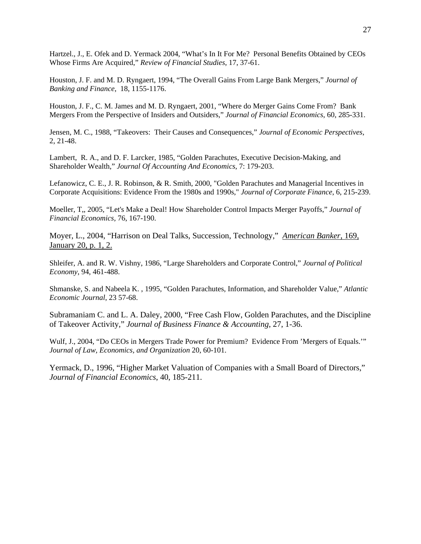Hartzel., J., E. Ofek and D. Yermack 2004, "What's In It For Me? Personal Benefits Obtained by CEOs Whose Firms Are Acquired," *Review of Financial Studies*, 17, 37-61.

Houston, J. F. and M. D. Ryngaert, 1994, "The Overall Gains From Large Bank Mergers," *Journal of Banking and Finance*, 18, 1155-1176.

Houston, J. F., C. M. James and M. D. Ryngaert, 2001, "Where do Merger Gains Come From? Bank Mergers From the Perspective of Insiders and Outsiders," *Journal of Financial Economics*, 60, 285-331.

Jensen, M. C., 1988, "Takeovers: Their Causes and Consequences," *Journal of Economic Perspectives*, 2, 21-48.

Lambert, R. A., and D. F. Larcker, 1985, "Golden Parachutes, Executive Decision-Making, and Shareholder Wealth," *Journal Of Accounting And Economics*, 7: 179-203.

Lefanowicz, C. E., J. R. Robinson, & R. Smith, 2000, "Golden Parachutes and Managerial Incentives in Corporate Acquisitions: Evidence From the 1980s and 1990s," *Journal of Corporate Finance*, 6, 215-239.

Moeller, T,, 2005, "Let's Make a Deal! How Shareholder Control Impacts Merger Payoffs," *Journal of Financial Economics,* 76, 167-190.

Moyer, L., 2004, "Harrison on Deal Talks, Succession, Technology," *American Banker*, 169, January 20, p. 1, 2.

Shleifer, A. and R. W. Vishny, 1986, "Large Shareholders and Corporate Control," *Journal of Political Economy*, 94, 461-488.

Shmanske, S. and Nabeela K. , 1995, "Golden Parachutes, Information, and Shareholder Value," *Atlantic Economic Journal*, 23 57-68.

Subramaniam C. and L. A. Daley, 2000, "Free Cash Flow, Golden Parachutes, and the Discipline of Takeover Activity," *Journal of Business Finance & Accounting*, 27, 1-36.

Wulf, J., 2004, "Do CEOs in Mergers Trade Power for Premium? Evidence From 'Mergers of Equals.'" *Journal of Law, Economics, and Organization* 20, 60-101.

Yermack, D., 1996, "Higher Market Valuation of Companies with a Small Board of Directors," *Journal of Financial Economics*, 40, 185-211.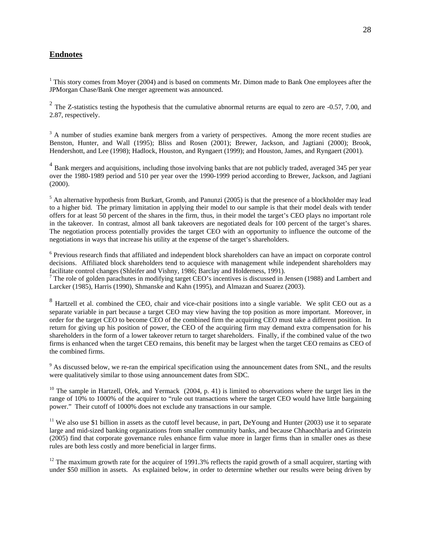# **Endnotes**

<sup>1</sup> This story comes from Moyer (2004) and is based on comments Mr. Dimon made to Bank One employees after the JPMorgan Chase/Bank One merger agreement was announced.

<sup>2</sup> The Z-statistics testing the hypothesis that the cumulative abnormal returns are equal to zero are -0.57, 7.00, and 2.87, respectively.

 $3$  A number of studies examine bank mergers from a variety of perspectives. Among the more recent studies are Benston, Hunter, and Wall (1995); Bliss and Rosen (2001); Brewer, Jackson, and Jagtiani (2000); Brook, Hendershott, and Lee (1998); Hadlock, Houston, and Ryngaert (1999); and Houston, James, and Ryngaert (2001).

<sup>4</sup> Bank mergers and acquisitions, including those involving banks that are not publicly traded, averaged 345 per year over the 1980-1989 period and 510 per year over the 1990-1999 period according to Brewer, Jackson, and Jagtiani (2000).

<sup>5</sup> An alternative hypothesis from Burkart, Gromb, and Panunzi (2005) is that the presence of a blockholder may lead to a higher bid. The primary limitation in applying their model to our sample is that their model deals with tender offers for at least 50 percent of the shares in the firm, thus, in their model the target's CEO plays no important role in the takeover. In contrast, almost all bank takeovers are negotiated deals for 100 percent of the target's shares. The negotiation process potentially provides the target CEO with an opportunity to influence the outcome of the negotiations in ways that increase his utility at the expense of the target's shareholders.

<sup>6</sup> Previous research finds that affiliated and independent block shareholders can have an impact on corporate control decisions. Affiliated block shareholders tend to acquiesce with management while independent shareholders may facilitate control changes (Shleifer and Vishny, 1986; Barclay and Holderness, 1991).

 $7$  The role of golden parachutes in modifying target CEO's incentives is discussed in Jensen (1988) and Lambert and Larcker (1985), Harris (1990), Shmanske and Kahn (1995), and Almazan and Suarez (2003).

<sup>8</sup> Hartzell et al. combined the CEO, chair and vice-chair positions into a single variable. We split CEO out as a separate variable in part because a target CEO may view having the top position as more important. Moreover, in order for the target CEO to become CEO of the combined firm the acquiring CEO must take a different position. In return for giving up his position of power, the CEO of the acquiring firm may demand extra compensation for his shareholders in the form of a lower takeover return to target shareholders. Finally, if the combined value of the two firms is enhanced when the target CEO remains, this benefit may be largest when the target CEO remains as CEO of the combined firms.

 $9<sup>9</sup>$  As discussed below, we re-ran the empirical specification using the announcement dates from SNL, and the results were qualitatively similar to those using announcement dates from SDC.

 $10$  The sample in Hartzell, Ofek, and Yermack (2004, p. 41) is limited to observations where the target lies in the range of 10% to 1000% of the acquirer to "rule out transactions where the target CEO would have little bargaining power." Their cutoff of 1000% does not exclude any transactions in our sample.

<sup>11</sup> We also use \$1 billion in assets as the cutoff level because, in part, DeYoung and Hunter (2003) use it to separate large and mid-sized banking organizations from smaller community banks, and because Chhaochharia and Grinstein (2005) find that corporate governance rules enhance firm value more in larger firms than in smaller ones as these rules are both less costly and more beneficial in larger firms.

<sup>12</sup> The maximum growth rate for the acquirer of 1991.3% reflects the rapid growth of a small acquirer, starting with under \$50 million in assets. As explained below, in order to determine whether our results were being driven by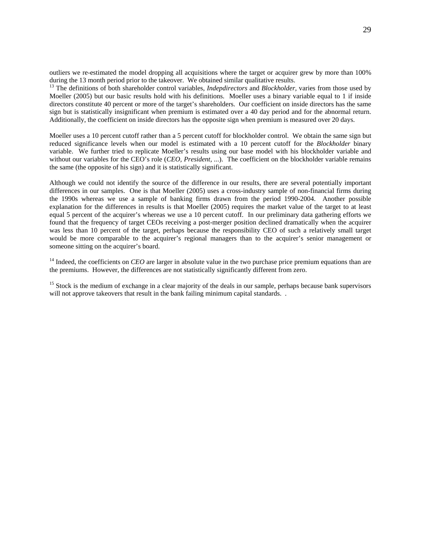outliers we re-estimated the model dropping all acquisitions where the target or acquirer grew by more than 100% during the 13 month period prior to the takeover. We obtained similar qualitative results.

13 The definitions of both shareholder control variables, *Indepdirectors* and *Blockholder,* varies from those used by Moeller (2005) but our basic results hold with his definitions. Moeller uses a binary variable equal to 1 if inside directors constitute 40 percent or more of the target's shareholders. Our coefficient on inside directors has the same sign but is statistically insignificant when premium is estimated over a 40 day period and for the abnormal return. Additionally, the coefficient on inside directors has the opposite sign when premium is measured over 20 days.

Moeller uses a 10 percent cutoff rather than a 5 percent cutoff for blockholder control. We obtain the same sign but reduced significance levels when our model is estimated with a 10 percent cutoff for the *Blockholder* binary variable. We further tried to replicate Moeller's results using our base model with his blockholder variable and without our variables for the CEO's role (*CEO, President, ...*). The coefficient on the blockholder variable remains the same (the opposite of his sign) and it is statistically significant.

Although we could not identify the source of the difference in our results, there are several potentially important differences in our samples. One is that Moeller (2005) uses a cross-industry sample of non-financial firms during the 1990s whereas we use a sample of banking firms drawn from the period 1990-2004. Another possible explanation for the differences in results is that Moeller (2005) requires the market value of the target to at least equal 5 percent of the acquirer's whereas we use a 10 percent cutoff. In our preliminary data gathering efforts we found that the frequency of target CEOs receiving a post-merger position declined dramatically when the acquirer was less than 10 percent of the target, perhaps because the responsibility CEO of such a relatively small target would be more comparable to the acquirer's regional managers than to the acquirer's senior management or someone sitting on the acquirer's board.

<sup>14</sup> Indeed, the coefficients on *CEO* are larger in absolute value in the two purchase price premium equations than are the premiums. However, the differences are not statistically significantly different from zero.

<sup>15</sup> Stock is the medium of exchange in a clear majority of the deals in our sample, perhaps because bank supervisors will not approve take overs that result in the bank failing minimum capital standards...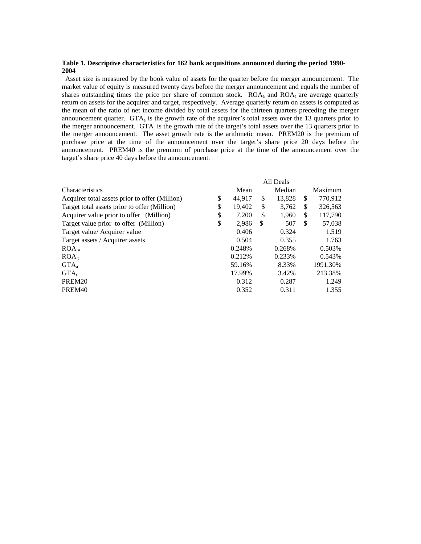#### **Table 1. Descriptive characteristics for 162 bank acquisitions announced during the period 1990- 2004**

 Asset size is measured by the book value of assets for the quarter before the merger announcement. The market value of equity is measured twenty days before the merger announcement and equals the number of shares outstanding times the price per share of common stock.  $ROA<sub>a</sub>$  and  $ROA<sub>t</sub>$  are average quarterly return on assets for the acquirer and target, respectively. Average quarterly return on assets is computed as the mean of the ratio of net income divided by total assets for the thirteen quarters preceding the merger announcement quarter.  $GTA<sub>a</sub>$  is the growth rate of the acquirer's total assets over the 13 quarters prior to the merger announcement. GTA $<sub>t</sub>$  is the growth rate of the target's total assets over the 13 quarters prior to</sub> the merger announcement. The asset growth rate is the arithmetic mean. PREM20 is the premium of purchase price at the time of the announcement over the target's share price 20 days before the announcement. PREM40 is the premium of purchase price at the time of the announcement over the target's share price 40 days before the announcement.

|                                                | All Deals |         |    |        |               |          |
|------------------------------------------------|-----------|---------|----|--------|---------------|----------|
| <b>Characteristics</b>                         |           | Mean    |    | Median |               | Maximum  |
| Acquirer total assets prior to offer (Million) | \$        | 44,917  | \$ | 13,828 | <sup>\$</sup> | 770,912  |
| Target total assets prior to offer (Million)   | \$        | 19.402  | \$ | 3.762  | S             | 326,563  |
| Acquirer value prior to offer (Million)        | \$        | 7.200   | \$ | 1.960  | <sup>\$</sup> | 117,790  |
| Target value prior to offer (Million)          | \$        | 2,986   | S  | 507    | <sup>\$</sup> | 57,038   |
| Target value/ Acquirer value                   |           | 0.406   |    | 0.324  |               | 1.519    |
| Target assets / Acquirer assets                |           | 0.504   |    | 0.355  |               | 1.763    |
| ROA <sub>a</sub>                               |           | 0.248%  |    | 0.268% |               | 0.503%   |
| ROA <sub>t</sub>                               |           | 0.212\% |    | 0.233% |               | 0.543%   |
| GTA <sub>a</sub>                               |           | 59.16%  |    | 8.33%  |               | 1991.30% |
| $GTA_t$                                        |           | 17.99%  |    | 3.42%  |               | 213.38%  |
| PREM <sub>20</sub>                             |           | 0.312   |    | 0.287  |               | 1.249    |
| PREM <sub>40</sub>                             |           | 0.352   |    | 0.311  |               | 1.355    |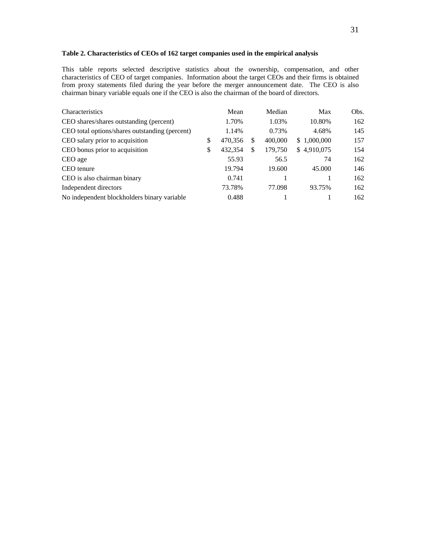# **Table 2. Characteristics of CEOs of 162 target companies used in the empirical analysis**

This table reports selected descriptive statistics about the ownership, compensation, and other characteristics of CEO of target companies. Information about the target CEOs and their firms is obtained from proxy statements filed during the year before the merger announcement date. The CEO is also chairman binary variable equals one if the CEO is also the chairman of the board of directors.

| Mean             | Max                          | Obs. |
|------------------|------------------------------|------|
| 1.03%<br>1.70%   | 10.80%                       | 162  |
| 0.73%<br>1.14%   | 4.68%                        | 145  |
| 470,356<br>S     | \$1,000,000                  | 157  |
| 432,354<br>S     | \$4,910,075                  | 154  |
| 55.93<br>56.5    | 74                           | 162  |
| 19.794<br>19.600 | 45.000                       | 146  |
| 0.741            |                              | 162  |
| 73.78%<br>77.098 | 93.75%                       | 162  |
| 0.488            |                              | 162  |
|                  | Median<br>400,000<br>179,750 |      |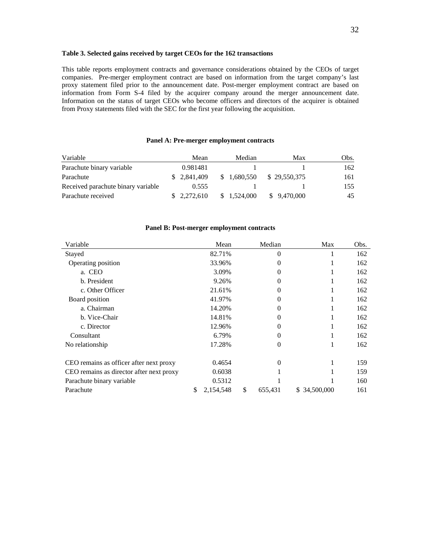#### **Table 3. Selected gains received by target CEOs for the 162 transactions**

This table reports employment contracts and governance considerations obtained by the CEOs of target companies. Pre-merger employment contract are based on information from the target company's last proxy statement filed prior to the announcement date. Post-merger employment contract are based on information from Form S-4 filed by the acquirer company around the merger announcement date. Information on the status of target CEOs who become officers and directors of the acquirer is obtained from Proxy statements filed with the SEC for the first year following the acquisition.

#### **Panel A: Pre-merger employment contracts**

| Variable                           | Mean         | Median      | Max          | Obs. |
|------------------------------------|--------------|-------------|--------------|------|
| Parachute binary variable          | 0.981481     |             |              | 162  |
| Parachute                          | \$ 2,841,409 | \$1.680,550 | \$29,550,375 | 161  |
| Received parachute binary variable | 0.555        |             |              | 155  |
| Parachute received                 | \$2,272,610  | \$1.524.000 | \$ 9.470,000 | 45   |

#### **Panel B: Post-merger employment contracts**

| Variable                                 | Mean            | Median        | Max              | Obs. |
|------------------------------------------|-----------------|---------------|------------------|------|
| Stayed                                   | 82.71%          | $\theta$      |                  | 162  |
| Operating position                       | 33.96%          | $\Omega$      |                  | 162  |
| a. CEO                                   | 3.09%           | $\Omega$      |                  | 162  |
| b. President                             | 9.26%           | $\theta$      |                  | 162  |
| c. Other Officer                         | 21.61%          | $\theta$      |                  | 162  |
| Board position                           | 41.97%          | $\Omega$      |                  | 162  |
| a. Chairman                              | 14.20%          | 0             |                  | 162  |
| b. Vice-Chair                            | 14.81%          | 0             |                  | 162  |
| c. Director                              | 12.96%          | $\theta$      | -1               | 162  |
| Consultant                               | 6.79%           | $\Omega$      |                  | 162  |
| No relationship                          | 17.28%          | $\theta$      |                  | 162  |
| CEO remains as officer after next proxy  | 0.4654          | $\theta$      |                  | 159  |
| CEO remains as director after next proxy | 0.6038          |               |                  | 159  |
| Parachute binary variable                | 0.5312          |               |                  | 160  |
| Parachute                                | \$<br>2,154,548 | \$<br>655,431 | 34,500,000<br>S. | 161  |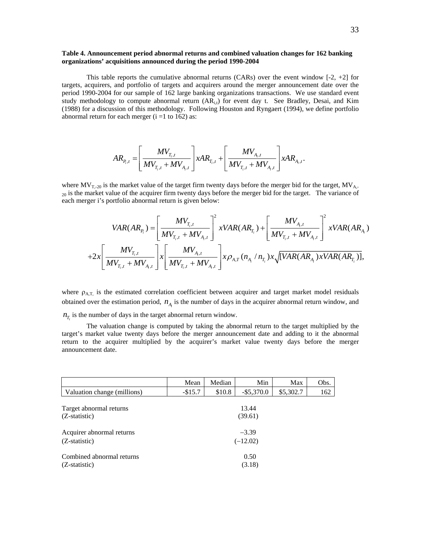#### **Table 4. Announcement period abnormal returns and combined valuation changes for 162 banking organizations' acquisitions announced during the period 1990-2004**

This table reports the cumulative abnormal returns (CARs) over the event window  $[-2, +2]$  for targets, acquirers, and portfolio of targets and acquirers around the merger announcement date over the period 1990-2004 for our sample of 162 large banking organizations transactions. We use standard event study methodology to compute abnormal return  $(AR_{i,t})$  for event day t. See Bradley, Desai, and Kim (1988) for a discussion of this methodology. Following Houston and Ryngaert (1994), we define portfolio abnormal return for each merger  $(i = 1 to 162)$  as:

$$
AR_{P_i,t} = \left[\frac{MV_{_{T_i,t}}}{MV_{_{T_i,t}} + MV_{_{A_i,t}}}\right] xAR_{_{T_i,t}} + \left[\frac{MV_{_{A_i,t}}}{MV_{_{T_i,t}} + MV_{_{A_i,t}}}\right] xAR_{_{A_i,t}}.
$$

where  $MV_{T,-20}$  is the market value of the target firm twenty days before the merger bid for the target,  $MV_{A,-}$  $_{20}$  is the market value of the acquirer firm twenty days before the merger bid for the target. The variance of each merger i's portfolio abnormal return is given below:

$$
VAR(AR_{P_i}) = \left[ \frac{MV_{T_i,t}}{MV_{T_i,t} + MV_{A_i,t}} \right]^2 xVAR(AR_{T_i}) + \left[ \frac{MV_{A_i,t}}{MV_{T_i,t} + MV_{A_i,t}} \right]^2 xVAR(AR_{A_i})
$$
  
+2x  $\left[ \frac{MV_{T_i,t}}{MV_{T_i,t} + MV_{A_i,t}} \right] x \left[ \frac{MV_{A_i,t}}{MV_{T_i,t} + MV_{A_i,t}} \right] x \rho_{A,T}(n_{A_i} / n_{T_i}) x \sqrt{[VAR(AR_{A_i}) xVAR(AR_{T_i})]},$ 

where  $\rho_{AT}$  is the estimated correlation coefficient between acquirer and target market model residuals obtained over the estimation period,  $n_A$  is the number of days in the acquirer abnormal return window, and

 $n<sub>T</sub>$  is the number of days in the target abnormal return window.

 The valuation change is computed by taking the abnormal return to the target multiplied by the target's market value twenty days before the merger announcement date and adding to it the abnormal return to the acquirer multiplied by the acquirer's market value twenty days before the merger announcement date.

|                                              | Mean                  | Median | Min              | Max       | Obs. |  |  |
|----------------------------------------------|-----------------------|--------|------------------|-----------|------|--|--|
| Valuation change (millions)                  | $-$15.7$              | \$10.8 | $-$ \$5,370.0    | \$5,302.7 | 162  |  |  |
| Target abnormal returns<br>$(Z-statistic)$   |                       |        | 13.44<br>(39.61) |           |      |  |  |
| Acquirer abnormal returns<br>(Z-statistic)   | $-3.39$<br>$(-12.02)$ |        |                  |           |      |  |  |
| Combined abnormal returns<br>$(Z-statistic)$ |                       |        | 0.50<br>(3.18)   |           |      |  |  |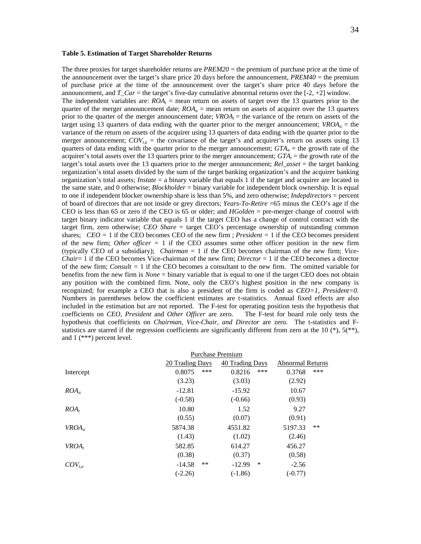#### **Table 5. Estimation of Target Shareholder Returns**

The three proxies for target shareholder returns are *PREM20* = the premium of purchase price at the time of the announcement over the target's share price 20 days before the announcement, *PREM40* = the premium of purchase price at the time of the announcement over the target's share price 40 days before the announcement, and  $T_{\text{c}}$  *Car* = the target's five-day cumulative abnormal returns over the [-2, +2] window. The independent variables are:  $ROA<sub>t</sub>$  = mean return on assets of target over the 13 quarters prior to the quarter of the merger announcement date;  $ROA<sub>a</sub>$  = mean return on assets of acquirer over the 13 quarters prior to the quarter of the merger announcement date;  $VROA_t$  = the variance of the return on assets of the target using 13 quarters of data ending with the quarter prior to the merger announcement;  $VROA<sub>a</sub>$  = the variance of the return on assets of the acquirer using 13 quarters of data ending with the quarter prior to the merger announcement;  $COV_{ta}$  = the covariance of the target's and acquirer's return on assets using 13 quarters of data ending with the quarter prior to the merger announcement;  $GTA_a$  = the growth rate of the acquirer's total assets over the 13 quarters prior to the merger announcement;  $GTA<sub>t</sub>$  = the growth rate of the target's total assets over the 13 quarters prior to the merger announcement; *Rel\_asset* = the target banking organization's total assets divided by the sum of the target banking organization's and the acquirer banking organization's total assets; *Instate* = a binary variable that equals 1 if the target and acquirer are located in the same state, and 0 otherwise; *Blockholder* = binary variable for independent block ownership. It is equal to one if independent blocker ownership share is less than 5%, and zero otherwise; *Indepdirectors* = percent of board of directors that are not inside or grey directors; *Years-To-Retire* =65 minus the CEO's age if the CEO is less than 65 or zero if the CEO is 65 or older; and *HGolden* = pre-merger change of control with target binary indicator variable that equals 1 if the target CEO has a change of control contract with the target firm, zero otherwise; *CEO Share* = target CEO's percentage ownership of outstanding common shares; *CEO =* 1 if the CEO becomes CEO of the new firm ; *President =* 1 if the CEO becomes president of the new firm; *Other officer =* 1 if the CEO assumes some other officer position in the new firm (typically CEO of a subsidiary); *Chairman* = 1 if the CEO becomes chairman of the new firm; *Vice-Chair*= 1 if the CEO becomes Vice-chairman of the new firm; *Director* = 1 if the CEO becomes a director of the new firm; *Consult =* 1 if the CEO becomes a consultant to the new firm. The omitted variable for benefits from the new firm is *None* = binary variable that is equal to one if the target CEO does not obtain any position with the combined firm. Note, only the CEO's highest position in the new company is recognized; for example a CEO that is also a president of the firm is coded as *CEO=1, President=0.* Numbers in parentheses below the coefficient estimates are t-statistics. Annual fixed effects are also included in the estimation but are not reported. The F-test for operating position tests the hypothesis that coefficients on *CEO, President* and *Other Officer* are zero. The F-test for board role only tests the hypothesis that coefficients on *Chairman, Vice-Chair, and Director* are zero. The t-statistics and Fstatistics are starred if the regression coefficients are significantly different from zero at the 10  $(*)$ ,  $5(*^*)$ , and 1 (\*\*\*) percent level.

|             | <b>Purchase Premium</b> |                 |                         |  |  |  |
|-------------|-------------------------|-----------------|-------------------------|--|--|--|
|             | 20 Trading Days         | 40 Trading Days | <b>Abnormal Returns</b> |  |  |  |
| Intercept   | ***<br>0.8075           | ***<br>0.8216   | ***<br>0.3768           |  |  |  |
|             | (3.23)                  | (3.03)          | (2.92)                  |  |  |  |
| $ROA_a$     | $-12.81$                | $-15.92$        | 10.67                   |  |  |  |
|             | $(-0.58)$               | $(-0.66)$       | (0.93)                  |  |  |  |
| $ROA_t$     | 10.80                   | 1.52            | 9.27                    |  |  |  |
|             | (0.55)                  | (0.07)          | (0.91)                  |  |  |  |
| $VROA_a$    | 5874.38                 | 4551.82         | $***$<br>5197.33        |  |  |  |
|             | (1.43)                  | (1.02)          | (2.46)                  |  |  |  |
| $VROA_t$    | 582.85                  | 614.27          | 456.27                  |  |  |  |
|             | (0.38)                  | (0.37)          | (0.58)                  |  |  |  |
| $COV_{t,a}$ | $***$<br>$-14.58$       | ∗<br>$-12.99$   | $-2.56$                 |  |  |  |
|             | $(-2.26)$               | $(-1.86)$       | $(-0.77)$               |  |  |  |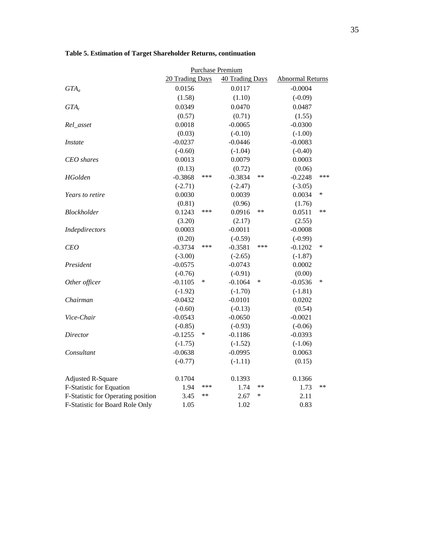|                                    | Purchase Premium                   |       |           |                         |           |      |  |  |
|------------------------------------|------------------------------------|-------|-----------|-------------------------|-----------|------|--|--|
|                                    | 20 Trading Days<br>40 Trading Days |       |           | <b>Abnormal Returns</b> |           |      |  |  |
| $GTA_a$                            | 0.0156                             |       | 0.0117    |                         | $-0.0004$ |      |  |  |
|                                    | (1.58)                             |       | (1.10)    |                         | $(-0.09)$ |      |  |  |
| $GTA_t$                            | 0.0349                             |       | 0.0470    |                         | 0.0487    |      |  |  |
|                                    | (0.57)                             |       | (0.71)    |                         | (1.55)    |      |  |  |
| Rel_asset                          | 0.0018                             |       | $-0.0065$ |                         | $-0.0300$ |      |  |  |
|                                    | (0.03)                             |       | $(-0.10)$ |                         | $(-1.00)$ |      |  |  |
| <b>Instate</b>                     | $-0.0237$                          |       | $-0.0446$ |                         | $-0.0083$ |      |  |  |
|                                    | $(-0.60)$                          |       | $(-1.04)$ |                         | $(-0.40)$ |      |  |  |
| <b>CEO</b> shares                  | 0.0013                             |       | 0.0079    |                         | 0.0003    |      |  |  |
|                                    | (0.13)                             |       | (0.72)    |                         | (0.06)    |      |  |  |
| <b>HGolden</b>                     | $-0.3868$                          | ***   | $-0.3834$ | $**$                    | $-0.2248$ | ***  |  |  |
|                                    | $(-2.71)$                          |       | $(-2.47)$ |                         | $(-3.05)$ |      |  |  |
| Years to retire                    | 0.0030                             |       | 0.0039    |                         | 0.0034    | *    |  |  |
|                                    | (0.81)                             |       | (0.96)    |                         | (1.76)    |      |  |  |
| Blockholder                        | 0.1243                             | ***   | 0.0916    | $**$                    | 0.0511    | $**$ |  |  |
|                                    | (3.20)                             |       | (2.17)    |                         | (2.55)    |      |  |  |
| Indepdirectors                     | 0.0003                             |       | $-0.0011$ |                         | $-0.0008$ |      |  |  |
|                                    | (0.20)                             |       | $(-0.59)$ |                         | $(-0.99)$ |      |  |  |
| <b>CEO</b>                         | $-0.3734$                          | ***   | $-0.3581$ | ***                     | $-0.1202$ | *    |  |  |
|                                    | $(-3.00)$                          |       | $(-2.65)$ |                         | $(-1.87)$ |      |  |  |
| President                          | $-0.0575$                          |       | $-0.0743$ |                         | 0.0002    |      |  |  |
|                                    | $(-0.76)$                          |       | $(-0.91)$ |                         | (0.00)    |      |  |  |
| Other officer                      | $-0.1105$                          | ∗     | $-0.1064$ | ∗                       | $-0.0536$ | ∗    |  |  |
|                                    | $(-1.92)$                          |       | $(-1.70)$ |                         | $(-1.81)$ |      |  |  |
| Chairman                           | $-0.0432$                          |       | $-0.0101$ |                         | 0.0202    |      |  |  |
|                                    | $(-0.60)$                          |       | $(-0.13)$ |                         | (0.54)    |      |  |  |
| Vice-Chair                         | $-0.0543$                          |       | $-0.0650$ |                         | $-0.0021$ |      |  |  |
|                                    | $(-0.85)$                          |       | $(-0.93)$ |                         | $(-0.06)$ |      |  |  |
| Director                           | $-0.1255$                          | ∗     | $-0.1186$ |                         | $-0.0393$ |      |  |  |
|                                    | $(-1.75)$                          |       | $(-1.52)$ |                         | $(-1.06)$ |      |  |  |
| Consultant                         | $-0.0638$                          |       | $-0.0995$ |                         | 0.0063    |      |  |  |
|                                    | $(-0.77)$                          |       | $(-1.11)$ |                         | (0.15)    |      |  |  |
| <b>Adjusted R-Square</b>           | 0.1704                             |       | 0.1393    |                         | 0.1366    |      |  |  |
| F-Statistic for Equation           | 1.94                               | ***   | 1.74      | $**$                    | 1.73      | $**$ |  |  |
| F-Statistic for Operating position | 3.45                               | $***$ | 2.67      | $\ast$                  | 2.11      |      |  |  |
| F-Statistic for Board Role Only    | 1.05                               |       | 1.02      |                         | 0.83      |      |  |  |

# **Table 5. Estimation of Target Shareholder Returns, continuation**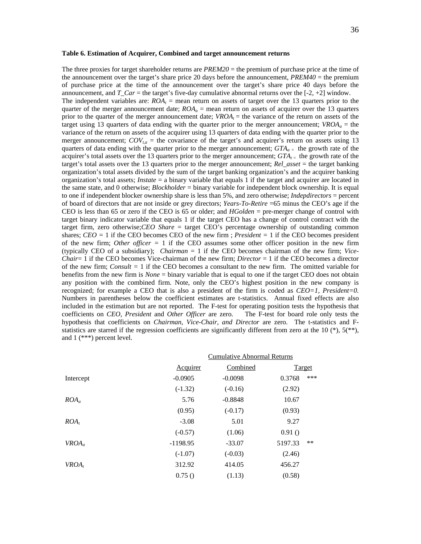#### **Table 6. Estimation of Acquirer, Combined and target announcement returns**

The three proxies for target shareholder returns are *PREM20* = the premium of purchase price at the time of the announcement over the target's share price 20 days before the announcement, *PREM40* = the premium of purchase price at the time of the announcement over the target's share price 40 days before the announcement, and  $T_{\text{c}}$  *Car* = the target's five-day cumulative abnormal returns over the [-2, +2] window. The independent variables are:  $ROA<sub>t</sub>$  = mean return on assets of target over the 13 quarters prior to the quarter of the merger announcement date;  $ROA<sub>a</sub>$  = mean return on assets of acquirer over the 13 quarters prior to the quarter of the merger announcement date;  $VROA<sub>t</sub>$  = the variance of the return on assets of the target using 13 quarters of data ending with the quarter prior to the merger announcement;  $VROA<sub>a</sub>$  = the variance of the return on assets of the acquirer using 13 quarters of data ending with the quarter prior to the merger announcement;  $COV_{ta}$  = the covariance of the target's and acquirer's return on assets using 13 quarters of data ending with the quarter prior to the merger announcement;  $GTA_{a}$  = the growth rate of the acquirer's total assets over the 13 quarters prior to the merger announcement;  $GTA_{t}$  the growth rate of the target's total assets over the 13 quarters prior to the merger announcement; *Rel\_asset* = the target banking organization's total assets divided by the sum of the target banking organization's and the acquirer banking organization's total assets; *Instate* = a binary variable that equals 1 if the target and acquirer are located in the same state, and 0 otherwise; *Blockholder* = binary variable for independent block ownership. It is equal to one if independent blocker ownership share is less than 5%, and zero otherwise; *Indepdirectors* = percent of board of directors that are not inside or grey directors; *Years-To-Retire* =65 minus the CEO's age if the CEO is less than 65 or zero if the CEO is 65 or older; and *HGolden* = pre-merger change of control with target binary indicator variable that equals 1 if the target CEO has a change of control contract with the target firm, zero otherwise;*CEO Share* = target CEO's percentage ownership of outstanding common shares; *CEO =* 1 if the CEO becomes CEO of the new firm ; *President =* 1 if the CEO becomes president of the new firm; *Other officer =* 1 if the CEO assumes some other officer position in the new firm (typically CEO of a subsidiary); *Chairman* = 1 if the CEO becomes chairman of the new firm; *Vice-Chair*= 1 if the CEO becomes Vice-chairman of the new firm; *Director* = 1 if the CEO becomes a director of the new firm; *Consult =* 1 if the CEO becomes a consultant to the new firm. The omitted variable for benefits from the new firm is *None* = binary variable that is equal to one if the target CEO does not obtain any position with the combined firm. Note, only the CEO's highest position in the new company is recognized; for example a CEO that is also a president of the firm is coded as *CEO=1, President=0.* Numbers in parentheses below the coefficient estimates are t-statistics. Annual fixed effects are also included in the estimation but are not reported. The F-test for operating position tests the hypothesis that coefficients on *CEO, President* and *Other Officer* are zero. The F-test for board role only tests the hypothesis that coefficients on *Chairman, Vice-Chair, and Director* are zero. The t-statistics and Fstatistics are starred if the regression coefficients are significantly different from zero at the 10  $(*)$ ,  $5(*^*)$ , and 1 (\*\*\*) percent level.

|           |            | <b>Cumulative Abnormal Returns</b> |         |               |
|-----------|------------|------------------------------------|---------|---------------|
|           | Acquirer   | Combined                           |         | <b>Target</b> |
| Intercept | $-0.0905$  | $-0.0098$                          | 0.3768  | ***           |
|           | $(-1.32)$  | $(-0.16)$                          | (2.92)  |               |
| $ROA_a$   | 5.76       | $-0.8848$                          | 10.67   |               |
|           | (0.95)     | $(-0.17)$                          | (0.93)  |               |
| $ROA_t$   | $-3.08$    | 5.01                               | 9.27    |               |
|           | $(-0.57)$  | (1.06)                             | 0.91()  |               |
| $VROA_a$  | $-1198.95$ | $-33.07$                           | 5197.33 | $**$          |
|           | $(-1.07)$  | $(-0.03)$                          | (2.46)  |               |
| $VROA_t$  | 312.92     | 414.05                             | 456.27  |               |
|           | 0.75()     | (1.13)                             | (0.58)  |               |